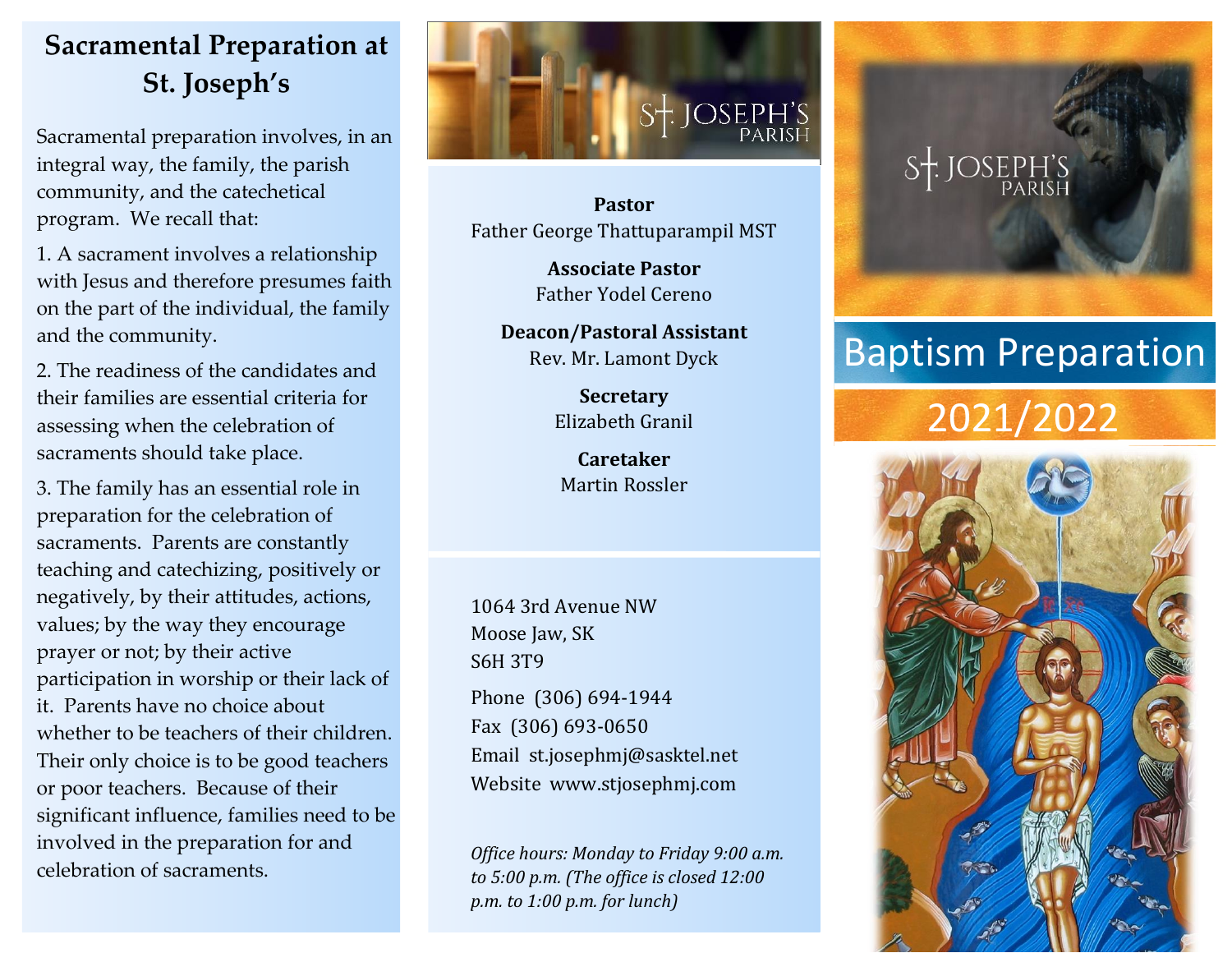### **Sacramental Preparation at St. Joseph's**

Sacramental preparation involves, in an integral way, the family, the parish community, and the catechetical program. We recall that:

1. A sacrament involves a relationship with Jesus and therefore presumes faith on the part of the individual, the family and the community.

2. The readiness of the candidates and their families are essential criteria for assessing when the celebration of sacraments should take place.

3. The family has an essential role in preparation for the celebration of sacraments. Parents are constantly teaching and catechizing, positively or negatively, by their attitudes, actions, values; by the way they encourage prayer or not; by their active participation in worship or their lack of it. Parents have no choice about whether to be teachers of their children. Their only choice is to be good teachers or poor teachers. Because of their significant influence, families need to be involved in the preparation for and celebration of sacraments.



**Pastor** Father George Thattuparampil MST

> **Associate Pastor** Father Yodel Cereno

**Deacon/Pastoral Assistant** Rev. Mr. Lamont Dyck

> **Secretary** Elizabeth Granil

**Caretaker** Martin Rossler

1064 3rd Avenue NW Moose Jaw, SK S6H 3T9

Phone (306) 694-1944 Fax (306) 693-0650 Email st.josephmj@sasktel.net Website www.stjosephmj.com

*Office hours: Monday to Friday 9:00 a.m. to 5:00 p.m. (The office is closed 12:00 p.m. to 1:00 p.m. for lunch)*



## Baptism Preparation

# 2021/2022